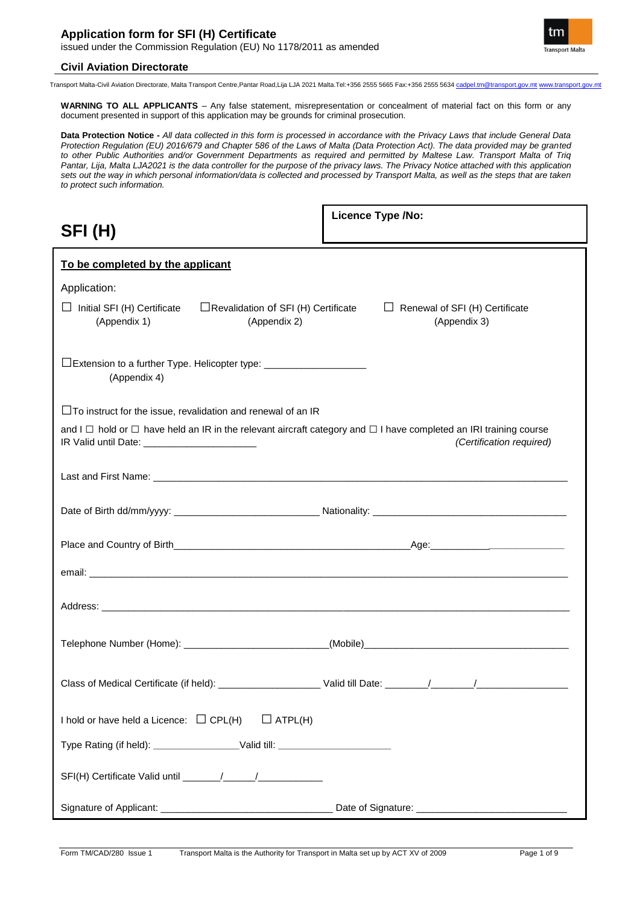

Transport Malta-Civil Aviation Directorate, Malta Transport Centre,Pantar Road,Lija LJA 2021 Malta.Tel:+356 2555 5665 Fax:+356 2555 5634 cadpel.tm@transport.gov.mt www.transport.gov.mt

**WARNING TO ALL APPLICANTS** – Any false statement, misrepresentation or concealment of material fact on this form or any document presented in support of this application may be grounds for criminal prosecution.

**Data Protection Notice -** *All data collected in this form is processed in accordance with the Privacy Laws that include General Data Protection Regulation (EU) 2016/679 and Chapter 586 of the Laws of Malta (Data Protection Act). The data provided may be granted to other Public Authorities and/or Government Departments as required and permitted by Maltese Law. Transport Malta of Triq Pantar, Lija, Malta LJA2021 is the data controller for the purpose of the privacy laws. The Privacy Notice attached with this application sets out the way in which personal information/data is collected and processed by Transport Malta, as well as the steps that are taken to protect such information.*

| SFI(H)                                                                                                                                                                            | <b>Licence Type /No:</b>                              |
|-----------------------------------------------------------------------------------------------------------------------------------------------------------------------------------|-------------------------------------------------------|
| To be completed by the applicant                                                                                                                                                  |                                                       |
| Application:                                                                                                                                                                      |                                                       |
| $\Box$ Initial SFI (H) Certificate<br>$\Box$ Revalidation of SFI (H) Certificate<br>(Appendix 1)<br>(Appendix 2)                                                                  | $\Box$ Renewal of SFI (H) Certificate<br>(Appendix 3) |
| □Extension to a further Type. Helicopter type: _________________________________<br>(Appendix 4)                                                                                  |                                                       |
| $\Box$ To instruct for the issue, revalidation and renewal of an IR                                                                                                               |                                                       |
| and $I \Box$ hold or $\Box$ have held an IR in the relevant aircraft category and $\Box$ I have completed an IRI training course<br>IR Valid until Date: ________________________ | (Certification required)                              |
|                                                                                                                                                                                   |                                                       |
|                                                                                                                                                                                   |                                                       |
|                                                                                                                                                                                   |                                                       |
|                                                                                                                                                                                   |                                                       |
|                                                                                                                                                                                   |                                                       |
|                                                                                                                                                                                   |                                                       |
|                                                                                                                                                                                   |                                                       |
| I hold or have held a Licence: $\Box$ CPL(H)<br>$\Box$ ATPL(H)                                                                                                                    |                                                       |
| Type Rating (if held): ___________________Valid till: __________________________                                                                                                  |                                                       |
|                                                                                                                                                                                   |                                                       |
|                                                                                                                                                                                   |                                                       |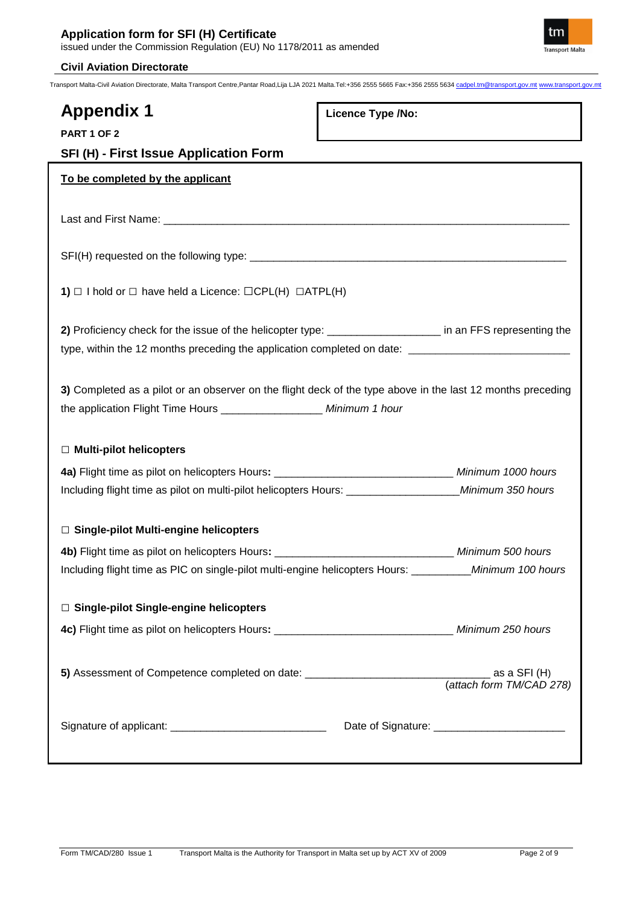

Transport Malta-Civil Aviation Directorate, Malta Transport Centre,Pantar Road,Lija LJA 2021 Malta.Tel:+356 2555 5665 Fax:+356 2555 5634 cadpel.tm@transport.gov.mt www.transport.gov.mt

# **Appendix 1**

**Licence Type /No:** 

| <b>PART 1 OF 2</b> |  |  |
|--------------------|--|--|
|                    |  |  |

**SFI (H) - First Issue Application Form**

# **To be completed by the applicant**

Last and First Name: \_\_\_\_\_\_\_\_\_\_\_\_\_\_\_\_\_\_\_\_\_\_\_\_\_\_\_\_\_\_\_\_\_\_\_\_\_\_\_\_\_\_\_\_\_\_\_\_\_\_\_\_\_\_\_\_\_\_\_\_\_\_\_\_\_\_\_\_

SFI(H) requested on the following type: \_\_\_\_\_\_\_\_\_\_\_\_\_\_\_\_\_\_\_\_\_\_\_\_\_\_\_\_\_\_\_\_\_\_\_\_\_\_\_\_\_\_\_\_\_\_\_\_\_\_\_\_\_

**1)** *□* I hold or *□* have held a Licence: □CPL(H) □ATPL(H)

2) Proficiency check for the issue of the helicopter type: \_\_\_\_\_\_\_\_\_\_\_\_\_\_\_\_\_\_\_\_\_\_ in an FFS representing the type, within the 12 months preceding the application completed on date: \_\_\_\_\_\_\_\_\_

**3)** Completed as a pilot or an observer on the flight deck of the type above in the last 12 months preceding the application Flight Time Hours \_\_\_\_\_\_\_\_\_\_\_\_\_\_\_\_\_ *Minimum 1 hour* 

# *□* **Multi-pilot helicopters**

| 4a) Flight time as pilot on helicopters Hours:                   | Minimum 1000 hours |
|------------------------------------------------------------------|--------------------|
| Including flight time as pilot on multi-pilot helicopters Hours: | Minimum 350 hours  |

# *□* **Single-pilot Multi-engine helicopters**

**4b)** Flight time as pilot on helicopters Hours**:** \_\_\_\_\_\_\_\_\_\_\_\_\_\_\_\_\_\_\_\_\_\_\_\_\_\_\_\_\_\_ *Minimum 500 hours* Including flight time as PIC on single-pilot multi-engine helicopters Hours: \_\_\_\_\_\_\_\_\_\_*Minimum 100 hours*

# *□* **Single-pilot Single-engine helicopters**

**4c)** Flight time as pilot on helicopters Hours**:** \_\_\_\_\_\_\_\_\_\_\_\_\_\_\_\_\_\_\_\_\_\_\_\_\_\_\_\_\_\_ *Minimum 250 hours*

**5)** Assessment of Competence completed on date: \_\_\_\_\_\_\_\_\_\_\_\_\_\_\_\_\_\_\_\_\_\_\_\_\_\_\_\_\_\_\_ as a SFI (H) (*attach form TM/CAD 278)*

Signature of applicant: \_\_\_\_\_\_\_\_\_\_\_\_\_\_\_\_\_\_\_\_\_\_\_\_\_\_ Date of Signature: \_\_\_\_\_\_\_\_\_\_\_\_\_\_\_\_\_\_\_\_\_\_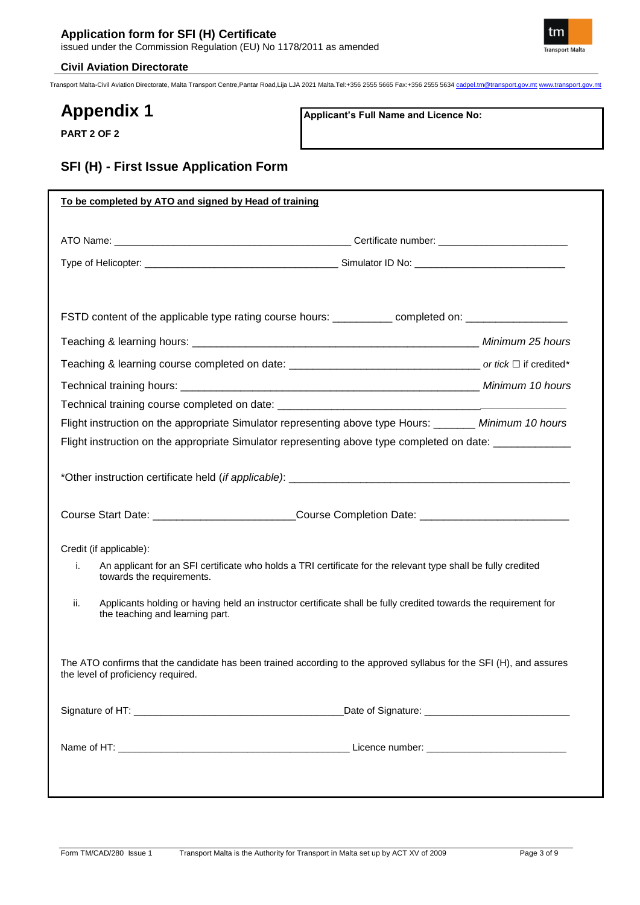

Transport Malta-Civil Aviation Directorate, Malta Transport Centre,Pantar Road,Lija LJA 2021 Malta.Tel:+356 2555 5665 Fax:+356 2555 5634 cadpel.tm@transport.gov.mt www.transport.gov.mt

# **Appendix 1**

**Applicant's Full Name and Licence No:**

**PART 2 OF 2**

# **SFI (H) - First Issue Application Form**

|                                                            | FSTD content of the applicable type rating course hours: _________ completed on: __________________                  |
|------------------------------------------------------------|----------------------------------------------------------------------------------------------------------------------|
|                                                            |                                                                                                                      |
|                                                            |                                                                                                                      |
|                                                            |                                                                                                                      |
|                                                            | Technical training course completed on date: ___________________________________                                     |
|                                                            | Flight instruction on the appropriate Simulator representing above type Hours: ________ Minimum 10 hours             |
|                                                            | Flight instruction on the appropriate Simulator representing above type completed on date: _____________             |
|                                                            |                                                                                                                      |
|                                                            | Course Start Date: __________________________Course Completion Date: ______________________________                  |
|                                                            |                                                                                                                      |
| Credit (if applicable):<br>i.<br>towards the requirements. | An applicant for an SFI certificate who holds a TRI certificate for the relevant type shall be fully credited        |
| ii.<br>the teaching and learning part.                     | Applicants holding or having held an instructor certificate shall be fully credited towards the requirement for      |
| the level of proficiency required.                         | The ATO confirms that the candidate has been trained according to the approved syllabus for the SFI (H), and assures |
|                                                            |                                                                                                                      |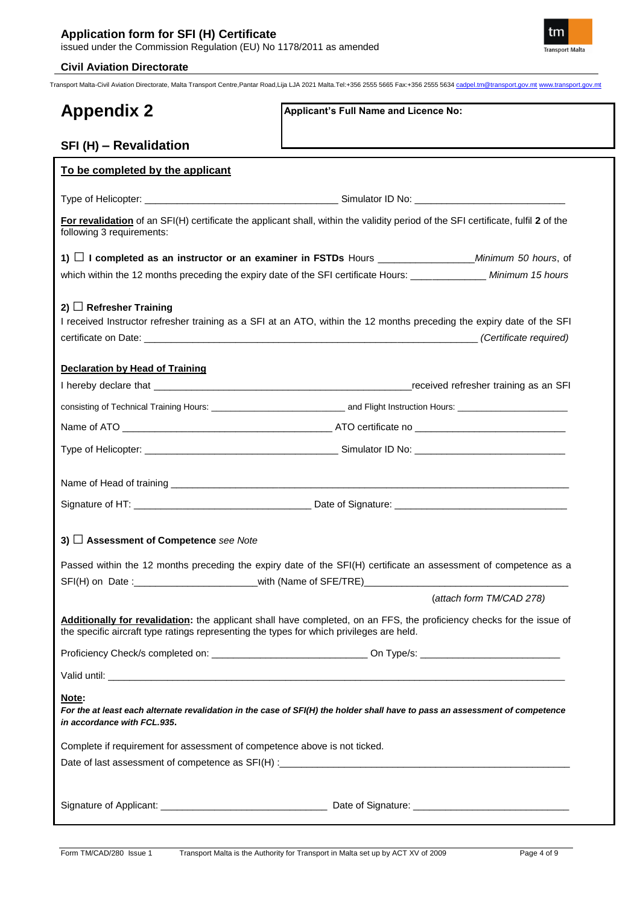

Transport Malta-Civil Aviation Directorate, Malta Transport Centre,Pantar Road,Lija LJA 2021 Malta.Tel:+356 2555 5665 Fax:+356 2555 5634 cadpel.tm@transport.gov.mt www.transport.gov.mt

| <b>Appendix 2</b>                                                                        | Applicant's Full Name and Licence No:                                                                                             |
|------------------------------------------------------------------------------------------|-----------------------------------------------------------------------------------------------------------------------------------|
| SFI (H) - Revalidation                                                                   |                                                                                                                                   |
| To be completed by the applicant                                                         |                                                                                                                                   |
|                                                                                          |                                                                                                                                   |
| following 3 requirements:                                                                | For revalidation of an SFI(H) certificate the applicant shall, within the validity period of the SFI certificate, fulfil 2 of the |
|                                                                                          |                                                                                                                                   |
|                                                                                          | which within the 12 months preceding the expiry date of the SFI certificate Hours: _______________ Minimum 15 hours               |
| 2) $\Box$ Refresher Training                                                             | I received Instructor refresher training as a SFI at an ATO, within the 12 months preceding the expiry date of the SFI            |
| <b>Declaration by Head of Training</b>                                                   |                                                                                                                                   |
|                                                                                          |                                                                                                                                   |
|                                                                                          |                                                                                                                                   |
|                                                                                          |                                                                                                                                   |
|                                                                                          |                                                                                                                                   |
|                                                                                          |                                                                                                                                   |
|                                                                                          |                                                                                                                                   |
| 3) $\Box$ Assessment of Competence see Note                                              | Passed within the 12 months preceding the expiry date of the SFI(H) certificate an assessment of competence as a                  |
| SFI(H) on Date :____________________________with (Name of SFE/TRE)______________         | (attach form TM/CAD 278)                                                                                                          |
| the specific aircraft type ratings representing the types for which privileges are held. | Additionally for revalidation: the applicant shall have completed, on an FFS, the proficiency checks for the issue of             |
|                                                                                          |                                                                                                                                   |
|                                                                                          |                                                                                                                                   |
| Note:<br>in accordance with FCL.935.                                                     | For the at least each alternate revalidation in the case of SFI(H) the holder shall have to pass an assessment of competence      |
| Complete if requirement for assessment of competence above is not ticked.                |                                                                                                                                   |
|                                                                                          |                                                                                                                                   |
|                                                                                          |                                                                                                                                   |
|                                                                                          |                                                                                                                                   |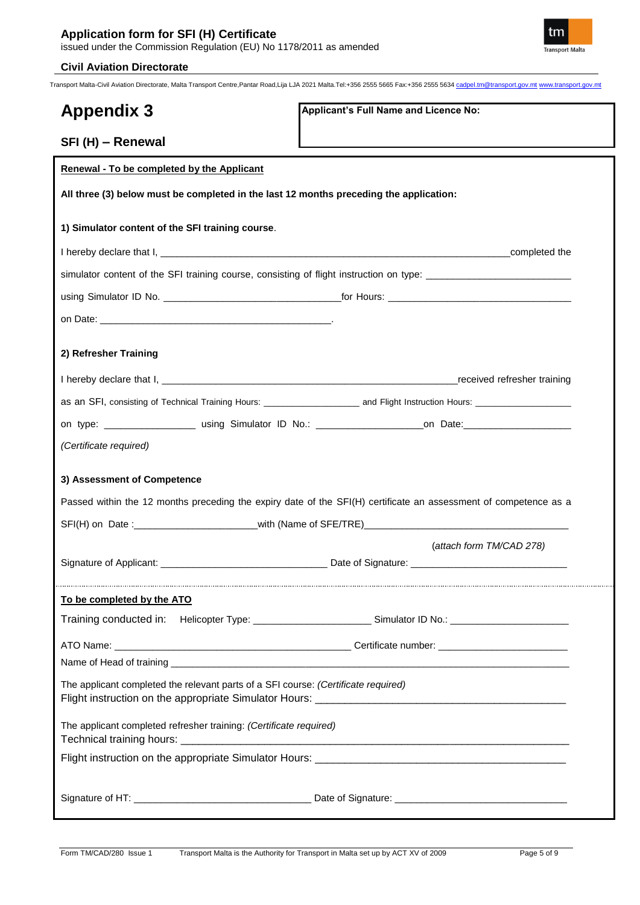

Transport Malta-Civil Aviation Directorate, Malta Transport Centre,Pantar Road,Lija LJA 2021 Malta.Tel:+356 2555 5665 Fax:+356 2555 5634 cadpel.tm@transport.gov.mt www.transport.gov.mt

| <b>Appendix 3</b>                                                                      | Applicant's Full Name and Licence No:                                                                            |
|----------------------------------------------------------------------------------------|------------------------------------------------------------------------------------------------------------------|
|                                                                                        |                                                                                                                  |
| SFI (H) - Renewal                                                                      |                                                                                                                  |
| <b>Renewal - To be completed by the Applicant</b>                                      |                                                                                                                  |
| All three (3) below must be completed in the last 12 months preceding the application: |                                                                                                                  |
| 1) Simulator content of the SFI training course.                                       |                                                                                                                  |
|                                                                                        |                                                                                                                  |
|                                                                                        | simulator content of the SFI training course, consisting of flight instruction on type: ______________________   |
|                                                                                        |                                                                                                                  |
|                                                                                        |                                                                                                                  |
|                                                                                        |                                                                                                                  |
| 2) Refresher Training                                                                  |                                                                                                                  |
|                                                                                        |                                                                                                                  |
|                                                                                        |                                                                                                                  |
|                                                                                        |                                                                                                                  |
| (Certificate required)                                                                 |                                                                                                                  |
| 3) Assessment of Competence                                                            |                                                                                                                  |
|                                                                                        | Passed within the 12 months preceding the expiry date of the SFI(H) certificate an assessment of competence as a |
|                                                                                        |                                                                                                                  |
|                                                                                        | (attach form TM/CAD 278)                                                                                         |
|                                                                                        |                                                                                                                  |
|                                                                                        |                                                                                                                  |
| To be completed by the ATO                                                             |                                                                                                                  |
|                                                                                        | Training conducted in: Helicopter Type: ____________________________Simulator ID No.: ________________________   |
|                                                                                        |                                                                                                                  |
|                                                                                        |                                                                                                                  |
| The applicant completed the relevant parts of a SFI course: (Certificate required)     |                                                                                                                  |
| The applicant completed refresher training: (Certificate required)                     |                                                                                                                  |
|                                                                                        |                                                                                                                  |
|                                                                                        |                                                                                                                  |
|                                                                                        |                                                                                                                  |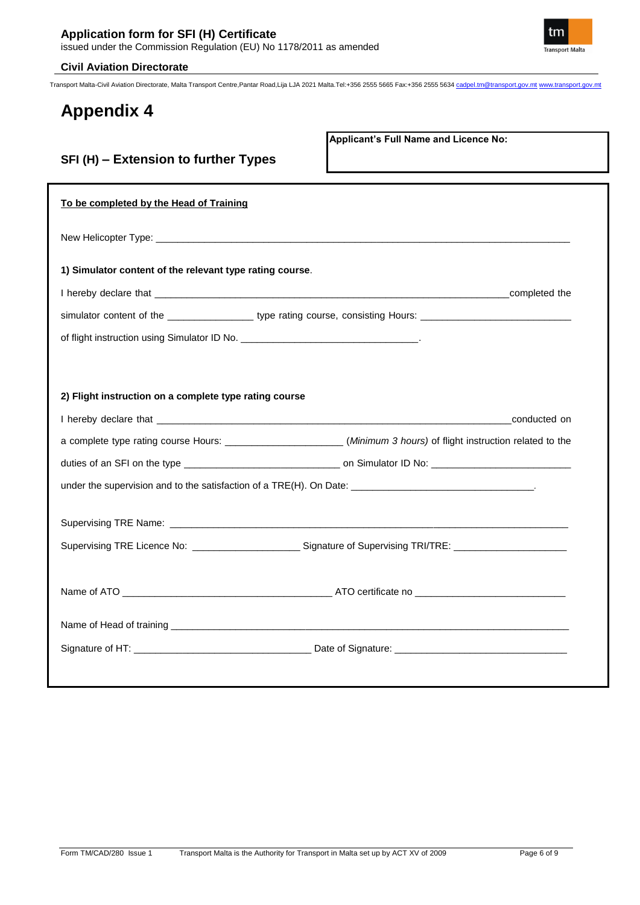**SFI (H) – Extension to further Types** 

Transport Malta-Civil Aviation Directorate, Malta Transport Centre,Pantar Road,Lija LJA 2021 Malta.Tel:+356 2555 5665 Fax:+356 2555 5634 cadpel.tm@transport.gov.mt www.transport.gov.mt

# **Appendix 4**

**Applicant's Full Name and Licence No:**

| To be completed by the Head of Training                                                                             |              |
|---------------------------------------------------------------------------------------------------------------------|--------------|
|                                                                                                                     |              |
| 1) Simulator content of the relevant type rating course.                                                            |              |
|                                                                                                                     |              |
| simulator content of the ______________________ type rating course, consisting Hours: ________________________      |              |
|                                                                                                                     |              |
|                                                                                                                     |              |
|                                                                                                                     |              |
| 2) Flight instruction on a complete type rating course                                                              |              |
|                                                                                                                     | conducted on |
| a complete type rating course Hours: ________________________(Minimum 3 hours) of flight instruction related to the |              |
|                                                                                                                     |              |
|                                                                                                                     |              |
|                                                                                                                     |              |
|                                                                                                                     |              |
| Supervising TRE Licence No: ______________________________Signature of Supervising TRI/TRE: __________________      |              |
|                                                                                                                     |              |
|                                                                                                                     |              |
|                                                                                                                     |              |
|                                                                                                                     |              |
|                                                                                                                     |              |
|                                                                                                                     |              |

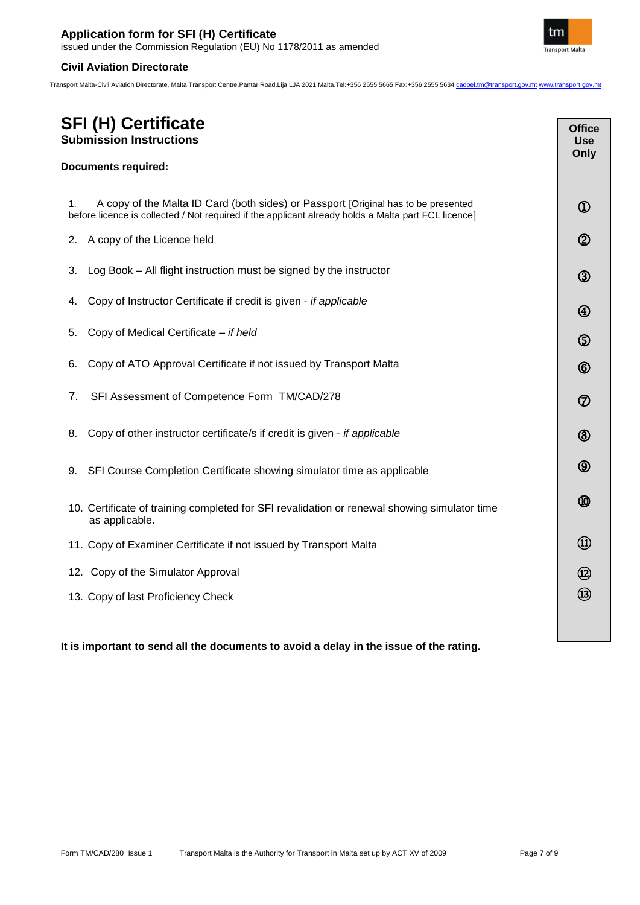Transport Malta-Civil Aviation Directorate, Malta Transport Centre,Pantar Road,Lija LJA 2021 Malta.Tel:+356 2555 5665 Fax:+356 2555 5634 cadpel.tm@transport.gov.mt www.transport.gov.mt

| <b>SFI (H) Certificate</b><br><b>Submission Instructions</b>                                                                                                                                    | <b>Office</b><br><b>Use</b> |
|-------------------------------------------------------------------------------------------------------------------------------------------------------------------------------------------------|-----------------------------|
| <b>Documents required:</b>                                                                                                                                                                      | Only                        |
| A copy of the Malta ID Card (both sides) or Passport [Original has to be presented<br>1.<br>before licence is collected / Not required if the applicant already holds a Malta part FCL licence] | $^\mathrm{\textregistered}$ |
| A copy of the Licence held<br>2.                                                                                                                                                                | $^\circledR$                |
| Log Book - All flight instruction must be signed by the instructor<br>3.                                                                                                                        | $^\circledR$                |
| Copy of Instructor Certificate if credit is given - if applicable<br>4.                                                                                                                         | $^\circledR$                |
| Copy of Medical Certificate - if held<br>5.                                                                                                                                                     | $\circledS$                 |
| Copy of ATO Approval Certificate if not issued by Transport Malta<br>6.                                                                                                                         | $^{\circledR}$              |
| SFI Assessment of Competence Form TM/CAD/278<br>7.                                                                                                                                              | $^\circledR$                |
| Copy of other instructor certificate/s if credit is given - if applicable<br>8.                                                                                                                 | $^{\circledR}$              |
| SFI Course Completion Certificate showing simulator time as applicable<br>9.                                                                                                                    | $\circledS$                 |
| 10. Certificate of training completed for SFI revalidation or renewal showing simulator time<br>as applicable.                                                                                  | ⅏                           |
| 11. Copy of Examiner Certificate if not issued by Transport Malta                                                                                                                               | $^{\textcircled{\tiny{1}}}$ |
| 12. Copy of the Simulator Approval                                                                                                                                                              | $^\circledR$                |
| 13. Copy of last Proficiency Check                                                                                                                                                              | $\circledR$                 |
|                                                                                                                                                                                                 |                             |

# **It is important to send all the documents to avoid a delay in the issue of the rating.**

֖֖֖֖֚֚֚֚֚֬

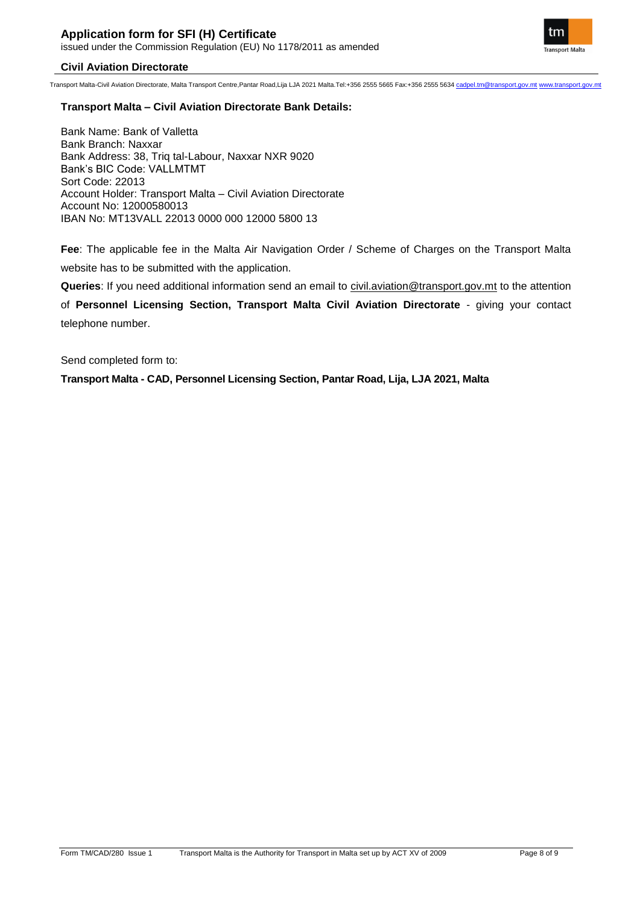Transport Malta-Civil Aviation Directorate, Malta Transport Centre,Pantar Road,Lija LJA 2021 Malta.Tel:+356 2555 5665 Fax:+356 2555 5634 cadpel.tm@transport.gov.mt www.transport.gov.mt

# **Transport Malta – Civil Aviation Directorate Bank Details:**

Bank Name: Bank of Valletta Bank Branch: Naxxar Bank Address: 38, Triq tal-Labour, Naxxar NXR 9020 Bank's BIC Code: VALLMTMT Sort Code: 22013 Account Holder: Transport Malta – Civil Aviation Directorate Account No: 12000580013 IBAN No: MT13VALL 22013 0000 000 12000 5800 13

**Fee**: The applicable fee in the Malta Air Navigation Order / Scheme of Charges on the Transport Malta website has to be submitted with the application.

**Queries**: If you need additional information send an email to [civil.aviation@transport.gov.mt](mailto:civil.aviation@transport.gov.mt) to the attention

of **Personnel Licensing Section, Transport Malta Civil Aviation Directorate** - giving your contact telephone number.

Send completed form to:

**Transport Malta - CAD, Personnel Licensing Section, Pantar Road, Lija, LJA 2021, Malta**